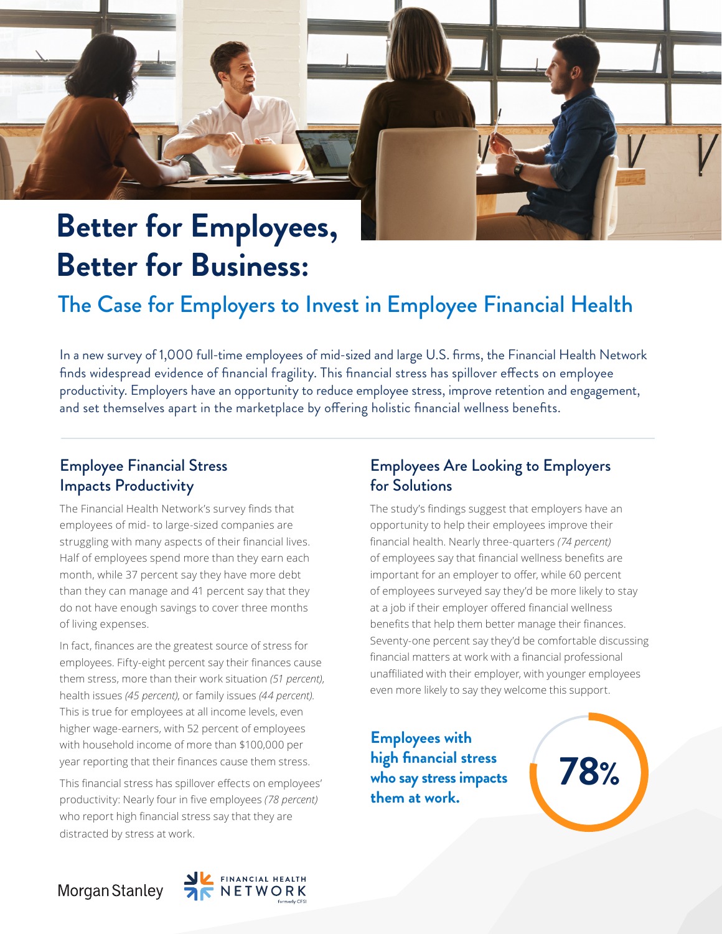# **Better for Employees, Better for Business:**

# The Case for Employers to Invest in Employee Financial Health

In a new survey of 1,000 full-time employees of mid-sized and large U.S. firms, the Financial Health Network finds widespread evidence of financial fragility. This financial stress has spillover effects on employee productivity. Employers have an opportunity to reduce employee stress, improve retention and engagement, and set themselves apart in the marketplace by offering holistic financial wellness benefits.

## Employee Financial Stress Impacts Productivity

The Financial Health Network's survey finds that employees of mid- to large-sized companies are struggling with many aspects of their financial lives. Half of employees spend more than they earn each month, while 37 percent say they have more debt than they can manage and 41 percent say that they do not have enough savings to cover three months of living expenses.

In fact, finances are the greatest source of stress for employees. Fifty-eight percent say their finances cause them stress, more than their work situation *(51 percent)*, health issues *(45 percent)*, or family issues *(44 percent)*. This is true for employees at all income levels, even higher wage-earners, with 52 percent of employees with household income of more than \$100,000 per year reporting that their finances cause them stress.

This financial stress has spillover effects on employees' productivity: Nearly four in five employees *(78 percent)* who report high financial stress say that they are distracted by stress at work.

## Employees Are Looking to Employers for Solutions

The study's findings suggest that employers have an opportunity to help their employees improve their financial health. Nearly three-quarters *(74 percent)* of employees say that financial wellness benefits are important for an employer to offer, while 60 percent of employees surveyed say they'd be more likely to stay at a job if their employer offered financial wellness benefits that help them better manage their finances. Seventy-one percent say they'd be comfortable discussing financial matters at work with a financial professional unaffiliated with their employer, with younger employees even more likely to say they welcome this support.

**Employees with high financial stress who say stress impacts them at work.**

**78%**

Morgan Stanley

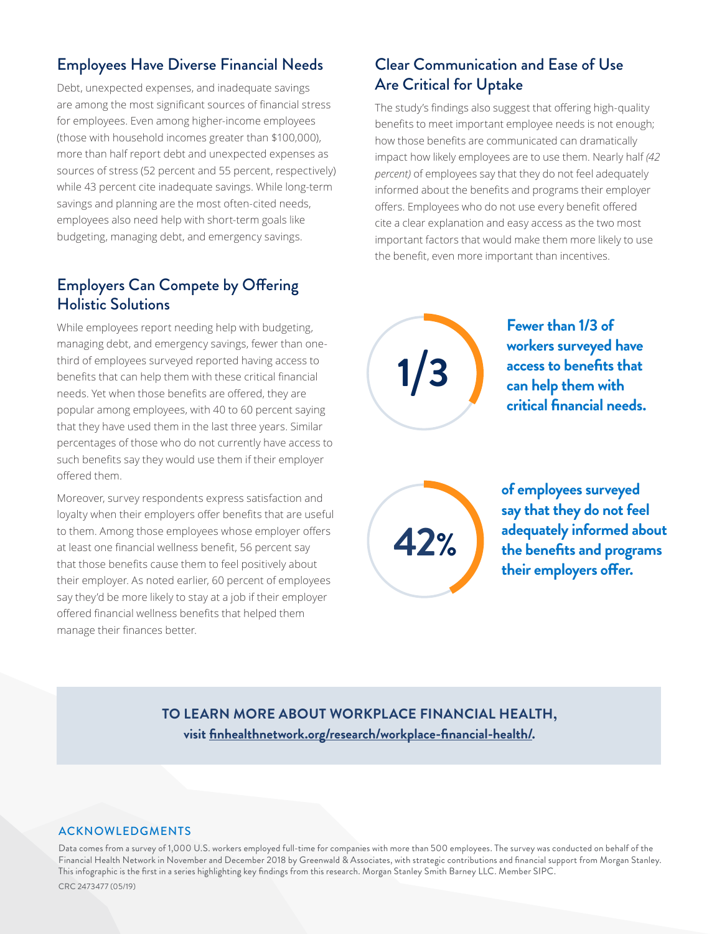## Employees Have Diverse Financial Needs

Debt, unexpected expenses, and inadequate savings are among the most significant sources of financial stress for employees. Even among higher-income employees (those with household incomes greater than \$100,000), more than half report debt and unexpected expenses as sources of stress (52 percent and 55 percent, respectively) while 43 percent cite inadequate savings. While long-term savings and planning are the most often-cited needs, employees also need help with short-term goals like budgeting, managing debt, and emergency savings.

## Employers Can Compete by Offering Holistic Solutions

While employees report needing help with budgeting, managing debt, and emergency savings, fewer than onethird of employees surveyed reported having access to benefits that can help them with these critical financial needs. Yet when those benefits are offered, they are popular among employees, with 40 to 60 percent saying that they have used them in the last three years. Similar percentages of those who do not currently have access to such benefits say they would use them if their employer offered them.

Moreover, survey respondents express satisfaction and loyalty when their employers offer benefits that are useful to them. Among those employees whose employer offers at least one financial wellness benefit, 56 percent say that those benefits cause them to feel positively about their employer. As noted earlier, 60 percent of employees say they'd be more likely to stay at a job if their employer offered financial wellness benefits that helped them manage their finances better.

## Clear Communication and Ease of Use Are Critical for Uptake

The study's findings also suggest that offering high-quality benefits to meet important employee needs is not enough; how those benefits are communicated can dramatically impact how likely employees are to use them. Nearly half *(42 percent)* of employees say that they do not feel adequately informed about the benefits and programs their employer offers. Employees who do not use every benefit offered cite a clear explanation and easy access as the two most important factors that would make them more likely to use the benefit, even more important than incentives.

**1 3**/

**Fewer than 1/3 of workers surveyed have access to benefits that can help them with critical financial needs.**

**42%**

of employees surveyed **of employees surveyed**  say that they do not feel **say that they do not feel**  adequately informed **adequately informed about**  the benefits and programs<br>——————————————————— their employers offer.

### **TO LEARN MORE ABOUT WORKPLACE FINANCIAL HEALTH, visit [finhealthnetwork.org/research/workplace-financial-health/](https://finhealthnetwork.org/research/workplace-financial-health/).**

#### ACKNOWLEDGMENTS

Data comes from a survey of 1,000 U.S. workers employed full-time for companies with more than 500 employees. The survey was conducted on behalf of the Financial Health Network in November and December 2018 by Greenwald & Associates, with strategic contributions and financial support from Morgan Stanley. This infographic is the first in a series highlighting key findings from this research. Morgan Stanley Smith Barney LLC. Member SIPC. CRC 2473477 (05/19)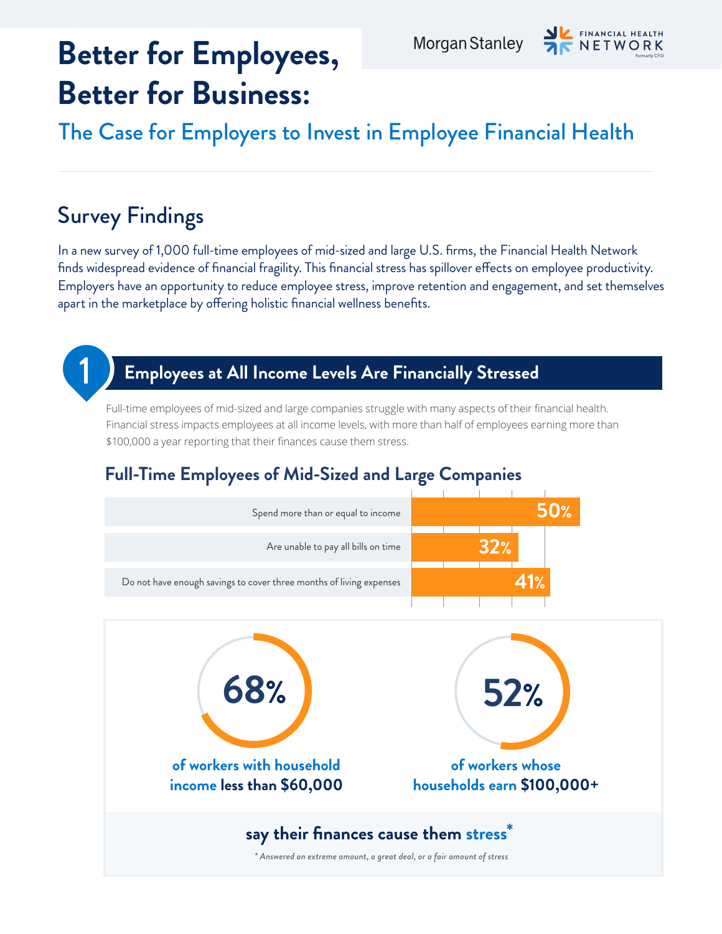# **Better for Employees, Better for Business:**



The Case for Employers to Invest in Employee Financial Health

# Survey Findings

In a new survey of 1,000 full-time employees of mid-sized and large U.S. firms, the Financial Health Network finds widespread evidence of financial fragility. This financial stress has spillover effects on employee productivity. Employers have an opportunity to reduce employee stress, improve retention and engagement, and set themselves apart in the marketplace by offering holistic financial wellness benefits.



## 1 **Employees at All Income Levels Are Financially Stressed**

Full-time employees of mid-sized and large companies struggle with many aspects of their financial health. Financial stress impacts employees at all income levels, with more than half of employees earning more than \$100,000 a year reporting that their finances cause them stress.

## **Full-Time Employees of Mid-Sized and Large Companies**

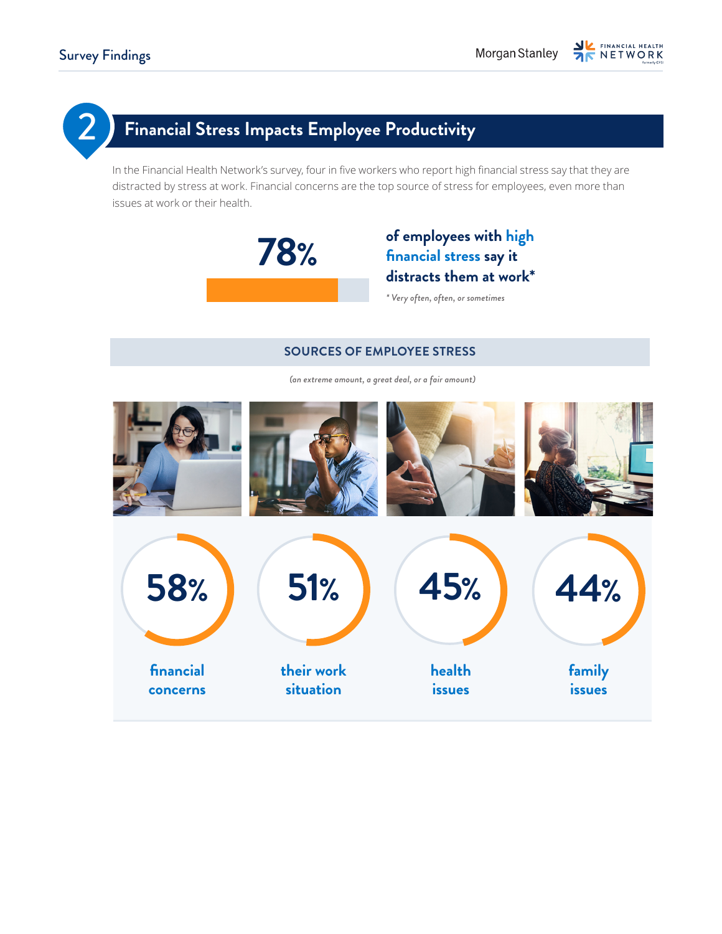# 2 **Financial Stress Impacts Employee Productivity**

In the Financial Health Network's survey, four in five workers who report high financial stress say that they are distracted by stress at work. Financial concerns are the top source of stress for employees, even more than issues at work or their health.



## **of employees with high financial stress say it distracts them at work\***

*\* Very often, often, or sometimes*

#### **SOURCES OF EMPLOYEE STRESS**

*(an extreme amount, a great deal, or a fair amount)*

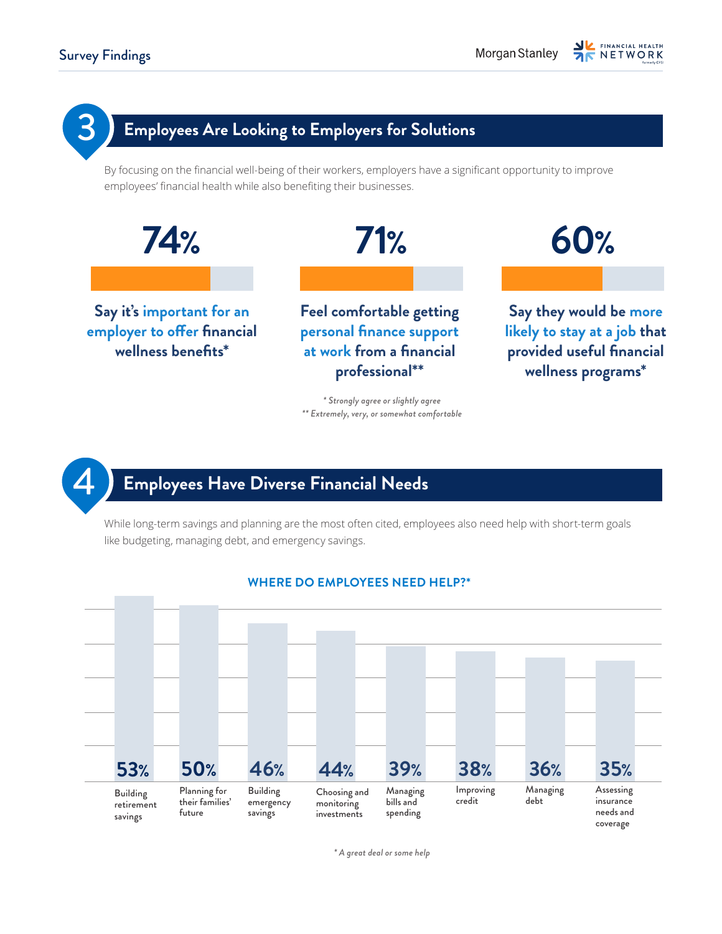

## 4 **Employees Have Diverse Financial Needs**

While long-term savings and planning are the most often cited, employees also need help with short-term goals like budgeting, managing debt, and emergency savings.



#### **WHERE DO EMPLOYEES NEED HELP?\***

*\* A great deal or some help*